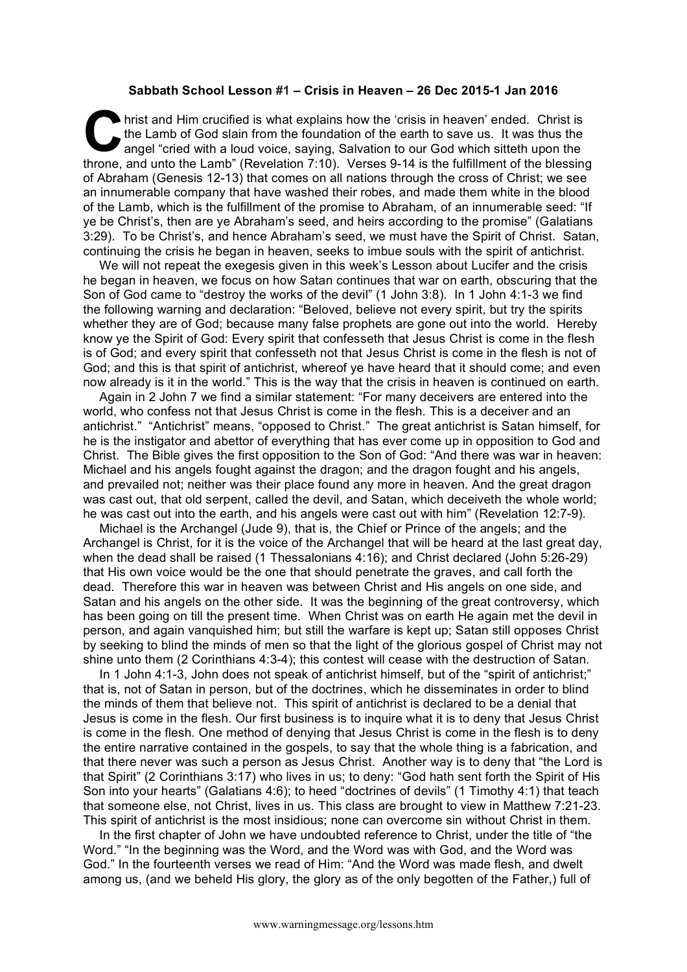## **Sabbath School Lesson #1 – Crisis in Heaven – 26 Dec 2015-1 Jan 2016**

hrist and Him crucified is what explains how the 'crisis in heaven' ended. Christ is the Lamb of God slain from the foundation of the earth to save us. It was thus the angel "cried with a loud voice, saying, Salvation to our God which sitteth upon the throne, and unto the Lamb" (Revelation 7:10). Verses 9-14 is the fulfillment of the blessing of Abraham (Genesis 12-13) that comes on all nations through the cross of Christ; we see an innumerable company that have washed their robes, and made them white in the blood of the Lamb, which is the fulfillment of the promise to Abraham, of an innumerable seed: "If ye be Christ's, then are ye Abraham's seed, and heirs according to the promise" (Galatians 3:29). To be Christ's, and hence Abraham's seed, we must have the Spirit of Christ. Satan, continuing the crisis he began in heaven, seeks to imbue souls with the spirit of antichrist. **C** the

We will not repeat the exegesis given in this week's Lesson about Lucifer and the crisis he began in heaven, we focus on how Satan continues that war on earth, obscuring that the Son of God came to "destroy the works of the devil" (1 John 3:8). In 1 John 4:1-3 we find the following warning and declaration: "Beloved, believe not every spirit, but try the spirits whether they are of God; because many false prophets are gone out into the world. Hereby know ye the Spirit of God: Every spirit that confesseth that Jesus Christ is come in the flesh is of God; and every spirit that confesseth not that Jesus Christ is come in the flesh is not of God; and this is that spirit of antichrist, whereof ye have heard that it should come; and even now already is it in the world." This is the way that the crisis in heaven is continued on earth.

Again in 2 John 7 we find a similar statement: "For many deceivers are entered into the world, who confess not that Jesus Christ is come in the flesh. This is a deceiver and an antichrist." "Antichrist" means, "opposed to Christ." The great antichrist is Satan himself, for he is the instigator and abettor of everything that has ever come up in opposition to God and Christ. The Bible gives the first opposition to the Son of God: "And there was war in heaven: Michael and his angels fought against the dragon; and the dragon fought and his angels, and prevailed not; neither was their place found any more in heaven. And the great dragon was cast out, that old serpent, called the devil, and Satan, which deceiveth the whole world; he was cast out into the earth, and his angels were cast out with him" (Revelation 12:7-9).

Michael is the Archangel (Jude 9), that is, the Chief or Prince of the angels; and the Archangel is Christ, for it is the voice of the Archangel that will be heard at the last great day, when the dead shall be raised (1 Thessalonians 4:16); and Christ declared (John 5:26-29) that His own voice would be the one that should penetrate the graves, and call forth the dead. Therefore this war in heaven was between Christ and His angels on one side, and Satan and his angels on the other side. It was the beginning of the great controversy, which has been going on till the present time. When Christ was on earth He again met the devil in person, and again vanquished him; but still the warfare is kept up; Satan still opposes Christ by seeking to blind the minds of men so that the light of the glorious gospel of Christ may not shine unto them (2 Corinthians 4:3-4); this contest will cease with the destruction of Satan.

In 1 John 4:1-3, John does not speak of antichrist himself, but of the "spirit of antichrist;" that is, not of Satan in person, but of the doctrines, which he disseminates in order to blind the minds of them that believe not. This spirit of antichrist is declared to be a denial that Jesus is come in the flesh. Our first business is to inquire what it is to deny that Jesus Christ is come in the flesh. One method of denying that Jesus Christ is come in the flesh is to deny the entire narrative contained in the gospels, to say that the whole thing is a fabrication, and that there never was such a person as Jesus Christ. Another way is to deny that "the Lord is that Spirit" (2 Corinthians 3:17) who lives in us; to deny: "God hath sent forth the Spirit of His Son into your hearts" (Galatians 4:6); to heed "doctrines of devils" (1 Timothy 4:1) that teach that someone else, not Christ, lives in us. This class are brought to view in Matthew 7:21-23. This spirit of antichrist is the most insidious; none can overcome sin without Christ in them.

In the first chapter of John we have undoubted reference to Christ, under the title of "the Word." "In the beginning was the Word, and the Word was with God, and the Word was God." In the fourteenth verses we read of Him: "And the Word was made flesh, and dwelt among us, (and we beheld His glory, the glory as of the only begotten of the Father,) full of